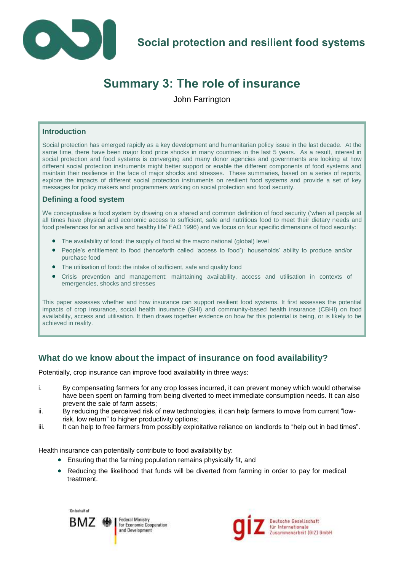

# **Summary 3: The role of insurance**

John Farrington

#### **Introduction**

Social protection has emerged rapidly as a key development and humanitarian policy issue in the last decade. At the same time, there have been major food price shocks in many countries in the last 5 years. As a result, interest in social protection and food systems is converging and many donor agencies and governments are looking at how different social protection instruments might better support or enable the different components of food systems and maintain their resilience in the face of major shocks and stresses. These summaries, based on a series of reports, explore the impacts of different social protection instruments on resilient food systems and provide a set of key messages for policy makers and programmers working on social protection and food security.

#### **Defining a food system**

We conceptualise a food system by drawing on a shared and common definition of food security ('when all people at all times have physical and economic access to sufficient, safe and nutritious food to meet their dietary needs and food preferences for an active and healthy life' FAO 1996) and we focus on four specific dimensions of food security:

- The availability of food: the supply of food at the macro national (global) level
- People's entitlement to food (henceforth called 'access to food'): households' ability to produce and/or purchase food
- The utilisation of food: the intake of sufficient, safe and quality food
- Crisis prevention and management: maintaining availability, access and utilisation in contexts of emergencies, shocks and stresses

This paper assesses whether and how insurance can support resilient food systems. It first assesses the potential impacts of crop insurance, social health insurance (SHI) and community-based health insurance (CBHI) on food availability, access and utilisation. It then draws together evidence on how far this potential is being, or is likely to be achieved in reality.

# **What do we know about the impact of insurance on food availability?**

Potentially, crop insurance can improve food availability in three ways:

- i. By compensating farmers for any crop losses incurred, it can prevent money which would otherwise have been spent on farming from being diverted to meet immediate consumption needs. It can also prevent the sale of farm assets;
- ii. By reducing the perceived risk of new technologies, it can help farmers to move from current "lowrisk, low return" to higher productivity options;
- iii. It can help to free farmers from possibly exploitative reliance on landlords to "help out in bad times".

Health insurance can potentially contribute to food availability by:

- Ensuring that the farming population remains physically fit, and
- Reducing the likelihood that funds will be diverted from farming in order to pay for medical treatment.



Federal Ministry for Economic Cooperation and Development

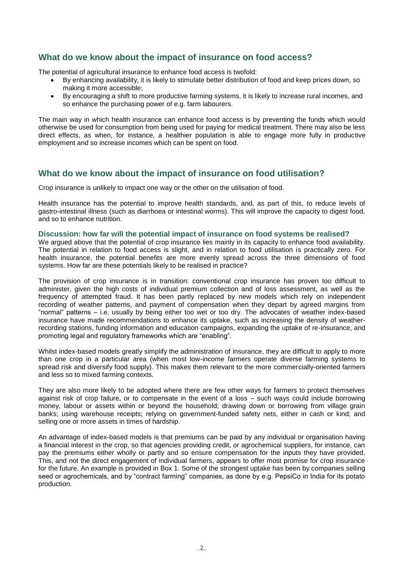# **What do we know about the impact of insurance on food access?**

The potential of agricultural insurance to enhance food access is twofold:

- By enhancing availability, it is likely to stimulate better distribution of food and keep prices down, so making it more accessible;
- By encouraging a shift to more productive farming systems, it is likely to increase rural incomes, and so enhance the purchasing power of e.g. farm labourers.

The main way in which health insurance can enhance food access is by preventing the funds which would otherwise be used for consumption from being used for paying for medical treatment. There may also be less direct effects, as when, for instance, a healthier population is able to engage more fully in productive employment and so increase incomes which can be spent on food.

# **What do we know about the impact of insurance on food utilisation?**

Crop insurance is unlikely to impact one way or the other on the utilisation of food.

Health insurance has the potential to improve health standards, and, as part of this, to reduce levels of gastro-intestinal illness (such as diarrhoea or intestinal worms). This will improve the capacity to digest food, and so to enhance nutrition.

#### **Discussion: how far will the potential impact of insurance on food systems be realised?**

We argued above that the potential of crop insurance lies mainly in its capacity to enhance food availability. The potential in relation to food access is slight, and in relation to food utilisation is practically zero. For health insurance, the potential benefits are more evenly spread across the three dimensions of food systems. How far are these potentials likely to be realised in practice?

The provision of crop insurance is in transition: conventional crop insurance has proven too difficult to administer, given the high costs of individual premium collection and of loss assessment, as well as the frequency of attempted fraud. It has been partly replaced by new models which rely on independent recording of weather patterns, and payment of compensation when they depart by agreed margins from "normal" patterns – i.e. usually by being either too wet or too dry. The advocates of weather index-based insurance have made recommendations to enhance its uptake, such as increasing the density of weatherrecording stations, funding information and education campaigns, expanding the uptake of re-insurance, and promoting legal and regulatory frameworks which are "enabling".

Whilst index-based models greatly simplify the administration of insurance, they are difficult to apply to more than one crop in a particular area (when most low-income farmers operate diverse farming systems to spread risk and diversify food supply). This makes them relevant to the more commercially-oriented farmers and less so to mixed farming contexts.

They are also more likely to be adopted where there are few other ways for farmers to protect themselves against risk of crop failure, or to compensate in the event of a loss – such ways could include borrowing money, labour or assets within or beyond the household; drawing down or borrowing from village grain banks; using warehouse receipts; relying on government-funded safety nets, either in cash or kind; and selling one or more assets in times of hardship.

An advantage of index-based models is that premiums can be paid by any individual or organisation having a financial interest in the crop, so that agencies providing credit, or agrochemical suppliers, for instance, can pay the premiums either wholly or partly and so ensure compensation for the inputs they have provided. This, and not the direct engagement of individual farmers, appears to offer most promise for crop insurance for the future. An example is provided in Box 1. Some of the strongest uptake has been by companies selling seed or agrochemicals, and by "contract farming" companies, as done by e.g. PepsiCo in India for its potato production.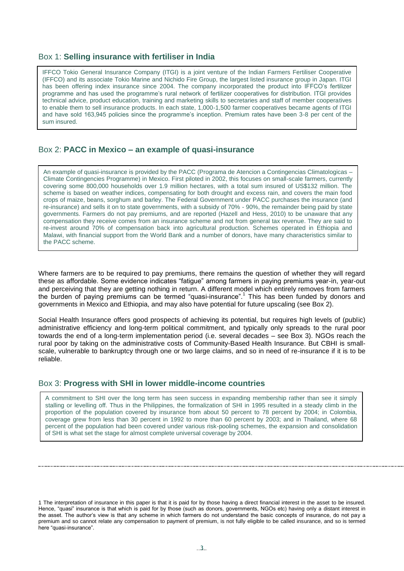#### Box 1: **Selling insurance with fertiliser in India**

IFFCO Tokio General Insurance Company (ITGI) is a joint venture of the Indian Farmers Fertiliser Cooperative (IFFCO) and its associate Tokio Marine and Nichido Fire Group, the largest listed insurance group in Japan. ITGI has been offering index insurance since 2004. The company incorporated the product into IFFCO's fertilizer programme and has used the programme's rural network of fertilizer cooperatives for distribution. ITGI provides technical advice, product education, training and marketing skills to secretaries and staff of member cooperatives to enable them to sell insurance products. In each state, 1,000-1,500 farmer cooperatives became agents of ITGI and have sold 163,945 policies since the programme's inception. Premium rates have been 3-8 per cent of the sum insured.

### Box 2: **PACC in Mexico – an example of quasi-insurance**

An example of quasi-insurance is provided by the PACC (Programa de Atencion a Contingencias Climatologicas – Climate Contingencies Programme) in Mexico. First piloted in 2002, this focuses on small-scale farmers, currently covering some 800,000 households over 1.9 million hectares, with a total sum insured of US\$132 million. The scheme is based on weather indices, compensating for both drought and excess rain, and covers the main food crops of maize, beans, sorghum and barley. The Federal Government under PACC purchases the insurance (and re-insurance) and sells it on to state governments, with a subsidy of 70% - 90%, the remainder being paid by state governments. Farmers do not pay premiums, and are reported (Hazell and Hess, 2010) to be unaware that any compensation they receive comes from an insurance scheme and not from general tax revenue. They are said to re-invest around 70% of compensation back into agricultural production. Schemes operated in Ethiopia and Malawi, with financial support from the World Bank and a number of donors, have many characteristics similar to the PACC scheme.

Where farmers are to be required to pay premiums, there remains the question of whether they will regard these as affordable. Some evidence indicates "fatigue" among farmers in paying premiums year-in, year-out and perceiving that they are getting nothing in return. A different model which entirely removes from farmers the burden of paying premiums can be termed "quasi-insurance".<sup>1</sup> This has been funded by donors and governments in Mexico and Ethiopia, and may also have potential for future upscaling (see Box 2).

Social Health Insurance offers good prospects of achieving its potential, but requires high levels of (public) administrative efficiency and long-term political commitment, and typically only spreads to the rural poor towards the end of a long-term implementation period (i.e. several decades – see Box 3). NGOs reach the rural poor by taking on the administrative costs of Community-Based Health Insurance. But CBHI is smallscale, vulnerable to bankruptcy through one or two large claims, and so in need of re-insurance if it is to be reliable.

#### Box 3: **Progress with SHI in lower middle-income countries**

A commitment to SHI over the long term has seen success in expanding membership rather than see it simply stalling or levelling off. Thus in the Philippines, the formalization of SHI in 1995 resulted in a steady climb in the proportion of the population covered by insurance from about 50 percent to 78 percent by 2004; in Colombia, coverage grew from less than 30 percent in 1992 to more than 60 percent by 2003; and in Thailand, where 68 percent of the population had been covered under various risk-pooling schemes, the expansion and consolidation of SHI is what set the stage for almost complete universal coverage by 2004.

<sup>1</sup> The interpretation of insurance in this paper is that it is paid for by those having a direct financial interest in the asset to be insured. Hence, "quasi" insurance is that which is paid for by those (such as donors, governments, NGOs etc) having only a distant interest in the asset. The author's view is that any scheme in which farmers do not understand the basic concepts of insurance, do not pay a premium and so cannot relate any compensation to payment of premium, is not fully eligible to be called insurance, and so is termed here "quasi-insurance".